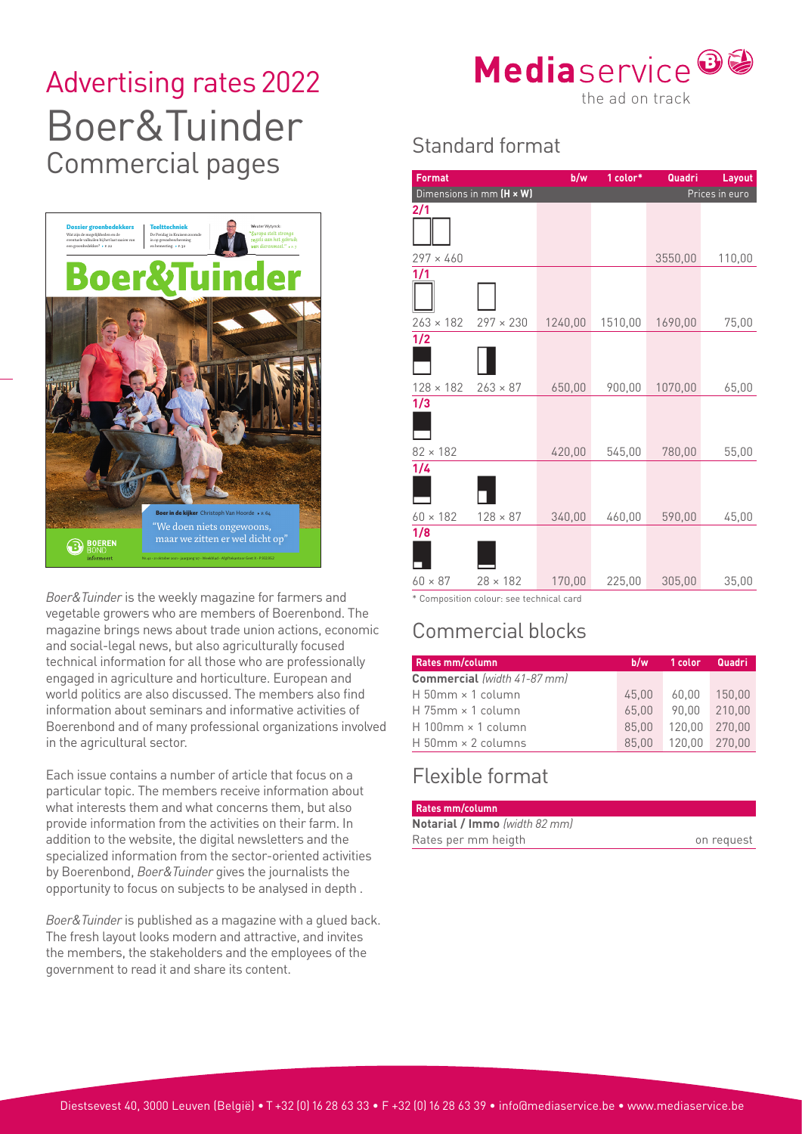# Advertising rates 2022<br>the ad on track Boer&Tuinder Commercial pages Standard format



*Boer&Tuinder* is the weekly magazine for farmers and vegetable growers who are members of Boerenbond. The magazine brings news about trade union actions, economic and social-legal news, but also agriculturally focused technical information for all those who are professionally engaged in agriculture and horticulture. European and world politics are also discussed. The members also find information about seminars and informative activities of Boerenbond and of many professional organizations involved in the agricultural sector.

Each issue contains a number of article that focus on a particular topic. The members receive information about what interests them and what concerns them, but also provide information from the activities on their farm. In addition to the website, the digital newsletters and the specialized information from the sector-oriented activities by Boerenbond, *Boer&Tuinder* gives the journalists the opportunity to focus on subjects to be analysed in depth .

*Boer&Tuinder* is published as a magazine with a glued back. The fresh layout looks modern and attractive, and invites the members, the stakeholders and the employees of the government to read it and share its content.



| <b>Format</b>    |                                            | b/w     | 1 color* | Quadri  | <b>Layout</b> |
|------------------|--------------------------------------------|---------|----------|---------|---------------|
|                  | Dimensions in mm (H x W)<br>Prices in euro |         |          |         |               |
| 2/1              |                                            |         |          |         |               |
|                  |                                            |         |          |         |               |
| $297 \times 460$ |                                            |         |          | 3550,00 | 110,00        |
| 1/1              |                                            |         |          |         |               |
| $263 \times 182$ | $297 \times 230$                           | 1240,00 | 1510,00  | 1690,00 | 75,00         |
| 1/2              |                                            |         |          |         |               |
| $128 \times 182$ | $263 \times 87$                            | 650,00  | 900,00   | 1070,00 | 65,00         |
| 1/3              |                                            |         |          |         |               |
| $82 \times 182$  |                                            | 420,00  | 545,00   | 780,00  | 55,00         |
| 1/4              |                                            |         |          |         |               |
| $60 \times 182$  | $128 \times 87$                            | 340,00  | 460,00   | 590,00  | 45,00         |
| 1/8              |                                            |         |          |         |               |
| $60 \times 87$   | $28 \times 182$                            | 170,00  | 225,00   | 305,00  | 35,00         |

\* Composition colour: see technical card

## Commercial blocks

| Rates mm/column                    | b/w   |        | 1 color Quadri |
|------------------------------------|-------|--------|----------------|
| <b>Commercial</b> (width 41-87 mm) |       |        |                |
| $H$ 50mm $\times$ 1 column         | 45.00 | 60.00  | 150.00         |
| $H$ 75mm $\times$ 1 column         | 65.00 | 90.00  | 210.00         |
| $H$ 100mm $\times$ 1 column        | 85.00 | 120.00 | 270.00         |
| $H$ 50mm $\times$ 2 columns        | 85.00 | 120.00 | 270.00         |

#### Flexible format

| <b>Rates mm/column</b>               |            |  |  |  |
|--------------------------------------|------------|--|--|--|
| <b>Notarial / Immo</b> (width 82 mm) |            |  |  |  |
| Rates per mm heigth                  | on request |  |  |  |